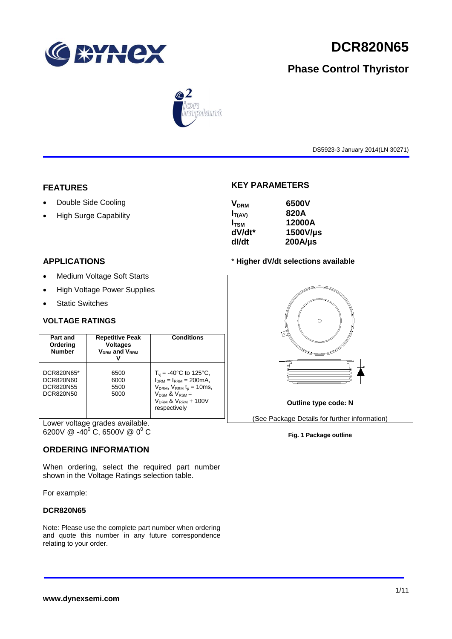

# **DCR820N65**

# **Phase Control Thyristor**



DS5923-3 January 2014(LN 30271)

#### **FEATURES**

- Double Side Cooling
- High Surge Capability

## **APPLICATIONS**

- Medium Voltage Soft Starts
- High Voltage Power Supplies
- Static Switches

#### **VOLTAGE RATINGS**

| Part and<br>Ordering<br><b>Number</b>                    | <b>Repetitive Peak</b><br><b>Voltages</b><br>$V_{DRM}$ and $V_{RRM}$ | Conditions                                                                                                                                                                                   |  |  |
|----------------------------------------------------------|----------------------------------------------------------------------|----------------------------------------------------------------------------------------------------------------------------------------------------------------------------------------------|--|--|
| DCR820N65*<br>DCR820N60<br><b>DCR820N55</b><br>DCR820N50 | 6500<br>6000<br>5500<br>5000                                         | $T_{\text{vi}}$ = -40°C to 125°C,<br>$I_{DRM} = I_{RRM} = 200 \text{mA}$<br>$V_{DRM}$ , $V_{RRM}$ $t_{p}$ = 10ms,<br>$V_{DSM}$ & $V_{RSM}$ =<br>$V_{DRM}$ & $V_{RRM}$ + 100V<br>respectively |  |  |

Lower voltage grades available. 6200V @ -40 $^{\circ}$  C, 6500V @ 0 $^{\circ}$  C

## **ORDERING INFORMATION**

When ordering, select the required part number shown in the Voltage Ratings selection table.

For example:

#### **DCR820N65**

Note: Please use the complete part number when ordering and quote this number in any future correspondence relating to your order.

#### **KEY PARAMETERS**

| <b>V<sub>DRM</sub></b> | 6500V        |
|------------------------|--------------|
| $I_{T(AV)}$            | 820A         |
| $I_{TSM}$              | 12000A       |
| dV/dt*                 | 1500V/µs     |
| dl/dt                  | $200A/\mu s$ |
|                        |              |

#### \* **Higher dV/dt selections available**



#### **Fig. 1 Package outline**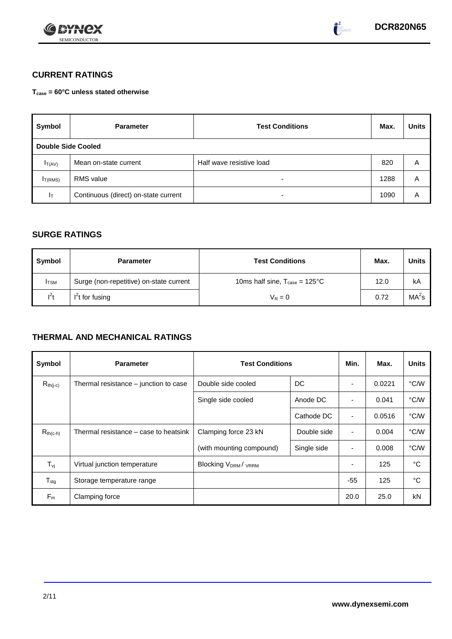



## **CURRENT RATINGS**

**Tcase = 60°C unless stated otherwise**

| Symbol                    | <b>Parameter</b>                     | <b>Test Conditions</b>   |      | <b>Units</b> |
|---------------------------|--------------------------------------|--------------------------|------|--------------|
| <b>Double Side Cooled</b> |                                      |                          |      |              |
| $I_{T(AV)}$               | Mean on-state current                | Half wave resistive load | 820  | Α            |
| I <sub>T(RMS)</sub>       | <b>RMS</b> value                     | -                        | 1288 | Α            |
| Iт                        | Continuous (direct) on-state current |                          | 1090 | Α            |

## **SURGE RATINGS**

| Symbol       | <b>Parameter</b>                        | <b>Test Conditions</b>                           | Max. | Units             |
|--------------|-----------------------------------------|--------------------------------------------------|------|-------------------|
| <b>I</b> TSM | Surge (non-repetitive) on-state current | 10ms half sine, $T_{\text{case}} = 125^{\circ}C$ | 12.0 | kA                |
| $l^2t$       | $I2t$ for fusing                        | $V_R = 0$                                        | 0.72 | MA <sup>2</sup> s |

## **THERMAL AND MECHANICAL RATINGS**

| Symbol                         | <b>Parameter</b>                      | <b>Test Conditions</b>                      |             | Min.           | Max.   | <b>Units</b> |
|--------------------------------|---------------------------------------|---------------------------------------------|-------------|----------------|--------|--------------|
| $R_{th(j-c)}$                  | Thermal resistance – junction to case | Double side cooled                          | DC          |                | 0.0221 | °C/W         |
|                                |                                       | Single side cooled                          | Anode DC    | ٠              | 0.041  | °C/W         |
|                                |                                       |                                             | Cathode DC  | $\blacksquare$ | 0.0516 | °C/W         |
| $R_{th(c-h)}$                  | Thermal resistance – case to heatsink | Clamping force 23 kN                        | Double side | $\blacksquare$ | 0.004  | °C/W         |
|                                |                                       | (with mounting compound)                    | Single side |                | 0.008  | °C/W         |
| $T_{\rm\scriptscriptstyle VI}$ | Virtual junction temperature          | Blocking V <sub>DRM</sub> / <sub>VRRM</sub> |             |                | 125    | °C           |
| $T_{\text{stg}}$               | Storage temperature range             |                                             |             | $-55$          | 125    | °C           |
| $F_m$                          | Clamping force                        |                                             |             | 20.0           | 25.0   | kN           |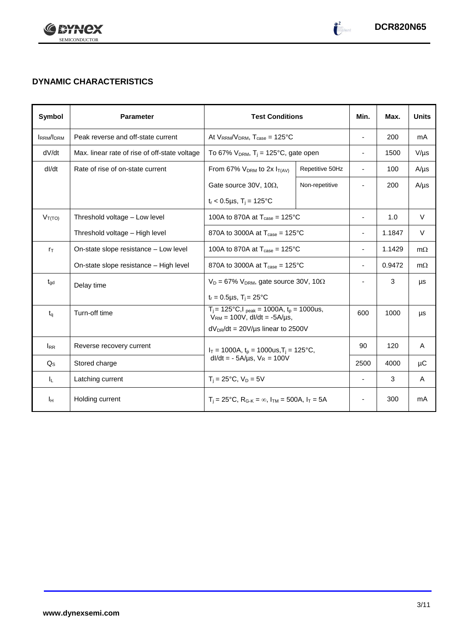

 $\begin{pmatrix} 2 \\ -2 \end{pmatrix}$ 

## **DYNAMIC CHARACTERISTICS**

| Symbol           | <b>Parameter</b>                              | <b>Test Conditions</b>                                                                          |                | Min.                     | Max.   | <b>Units</b> |
|------------------|-----------------------------------------------|-------------------------------------------------------------------------------------------------|----------------|--------------------------|--------|--------------|
| <b>IRRM/IDRM</b> | Peak reverse and off-state current            | At $V_{RRM}/V_{DRM}$ , $T_{case} = 125^{\circ}C$                                                |                | $\overline{\phantom{a}}$ | 200    | mA           |
| dV/dt            | Max. linear rate of rise of off-state voltage | To 67% $V_{DRM}$ , T <sub>i</sub> = 125°C, gate open                                            |                | $\overline{\phantom{a}}$ | 1500   | $V/\mu s$    |
| dl/dt            | Rate of rise of on-state current              | Repetitive 50Hz<br>From 67% $V_{DRM}$ to 2x $I_{T(AV)}$                                         |                | $\blacksquare$           | 100    | $A/\mu s$    |
|                  |                                               | Gate source 30V, 10 $\Omega$ ,                                                                  | Non-repetitive |                          | 200    | $A/\mu s$    |
|                  |                                               | $t_r$ < 0.5µs, T <sub>i</sub> = 125°C                                                           |                |                          |        |              |
| $V_{T(TO)}$      | Threshold voltage - Low level                 | 100A to 870A at $T_{\text{case}} = 125^{\circ}$ C                                               |                |                          | 1.0    | $\vee$       |
|                  | Threshold voltage - High level                | 870A to 3000A at $T_{\text{case}} = 125^{\circ}$ C                                              |                |                          | 1.1847 | $\vee$       |
| $r_{\text{T}}$   | On-state slope resistance - Low level         | 100A to 870A at $T_{\text{case}} = 125^{\circ}$ C                                               |                |                          | 1.1429 | $m\Omega$    |
|                  | On-state slope resistance - High level        | 870A to 3000A at $T_{\text{case}} = 125^{\circ}C$                                               |                | $\blacksquare$           | 0.9472 | $m\Omega$    |
| $t_{\text{qd}}$  | Delay time                                    | $V_D = 67\%$ V <sub>DRM</sub> , gate source 30V, 10 $\Omega$                                    |                |                          | 3      | μs           |
|                  |                                               | $t_r = 0.5 \mu s$ , $T_i = 25^{\circ}C$                                                         |                |                          |        |              |
| $t_q$            | Turn-off time                                 | $T_i = 125^{\circ}C, l_{peak} = 1000A, t_p = 1000us,$<br>$V_{RM}$ = 100V, dl/dt = -5A/µs,       |                | 600                      | 1000   | μs           |
|                  |                                               | $dV_{DR}/dt = 20V/\mu s$ linear to 2500V                                                        |                |                          |        |              |
| <b>IRR</b>       | Reverse recovery current                      | $I_T = 1000A$ , $t_p = 1000us$ , $T_i = 125^{\circ}C$ ,<br>$dl/dt = -5A/\mu s$ , $V_R = 100V$   |                | 90                       | 120    | A            |
| $Q_{\rm S}$      | Stored charge                                 |                                                                                                 |                | 2500                     | 4000   | μC           |
| IL.              | Latching current                              | $T_i = 25^{\circ}C$ , $V_D = 5V$                                                                |                | $\blacksquare$           | 3      | A            |
| Īн               | Holding current                               | $T_i = 25^{\circ}C$ , R <sub>G-K</sub> = $\infty$ , I <sub>TM</sub> = 500A, I <sub>T</sub> = 5A |                |                          | 300    | mA           |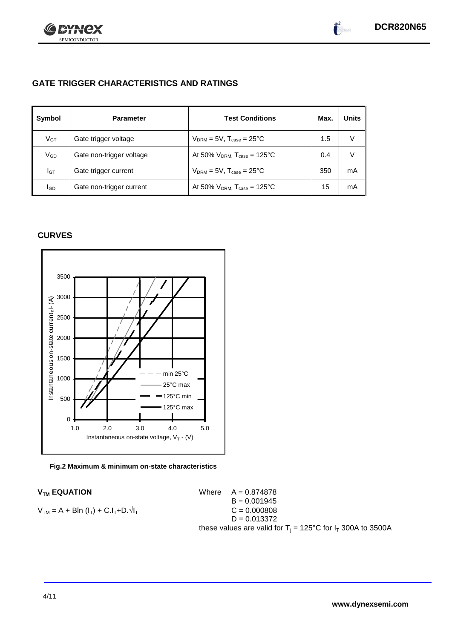

 $\bullet^2$ 

## **GATE TRIGGER CHARACTERISTICS AND RATINGS**

| Symbol          | <b>Parameter</b>         | <b>Test Conditions</b>                       | Max. | <b>Units</b> |
|-----------------|--------------------------|----------------------------------------------|------|--------------|
| V <sub>GT</sub> | Gate trigger voltage     | $V_{DRM} = 5V$ , $T_{case} = 25^{\circ}C$    | 1.5  | V            |
| VGD             | Gate non-trigger voltage | At 50% $V_{DRM}$ , $T_{case} = 125^{\circ}C$ | 0.4  | V            |
| IGТ             | Gate trigger current     | $V_{DRM}$ = 5V, $T_{case}$ = 25°C            | 350  | mA           |
| lgp             | Gate non-trigger current | At 50% $V_{DRM}$ , $T_{case} = 125$ °C       | 15   | mA           |

## **CURVES**



#### **Fig.2 Maximum & minimum on-state characteristics**

 $V_{TM}$  **EQUATION** Where  $A = 0.874878$  $B = 0.001945$  $V_{TM} = A + B\ln(I_T) + C.I_T + D.\sqrt{I_T}$  C = 0.000808  $D = 0.013372$ these values are valid for  $T_i = 125^{\circ}C$  for  $I_T$  300A to 3500A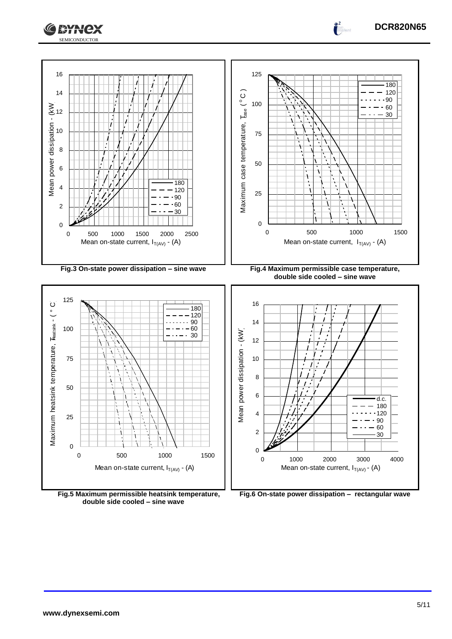



**Fig.5 Maximum permissible heatsink temperature, double side cooled – sine wave**

**Fig.6 On-state power dissipation – rectangular wave**

**DCR820N65**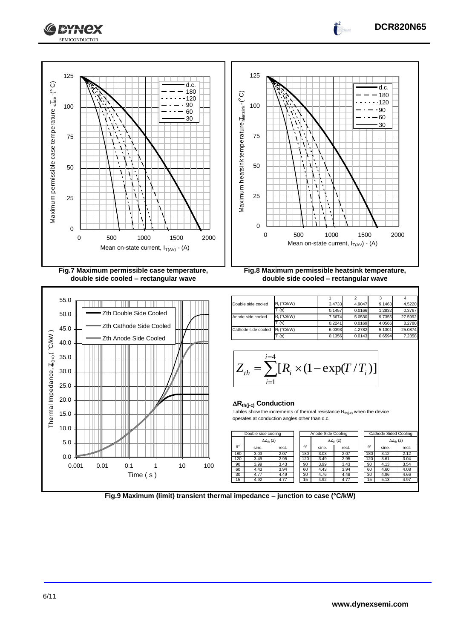



**Fig.9 Maximum (limit) transient thermal impedance – junction to case (°C/kW)**

**DCR820N65**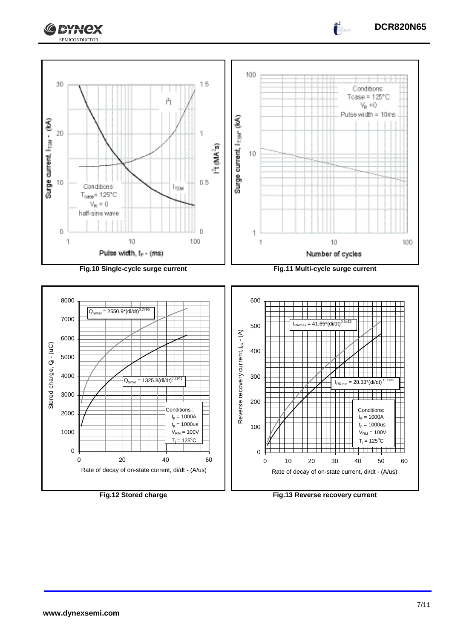



**www.dynexsemi.com**

**Fig.12 Stored charge Fig.13 Reverse recovery current**

**DCR820N65**

 $\int_0^2$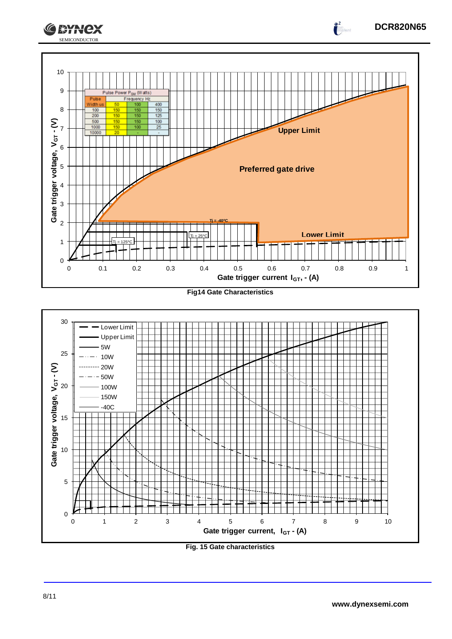



**Fig. 15 Gate characteristics**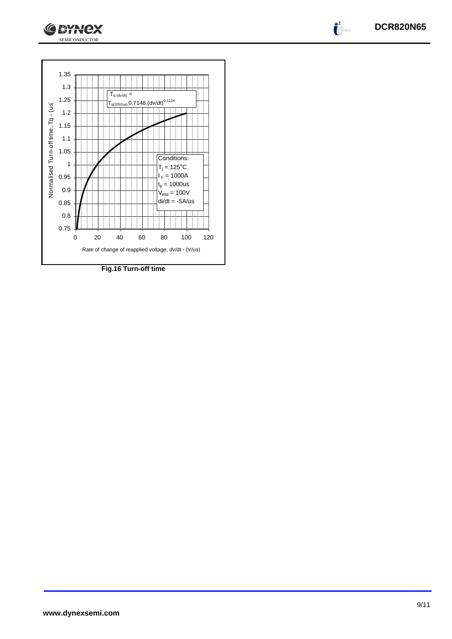



SEMICONDUCTOR

**GEYNCX** 

**Fig.16 Turn-off time**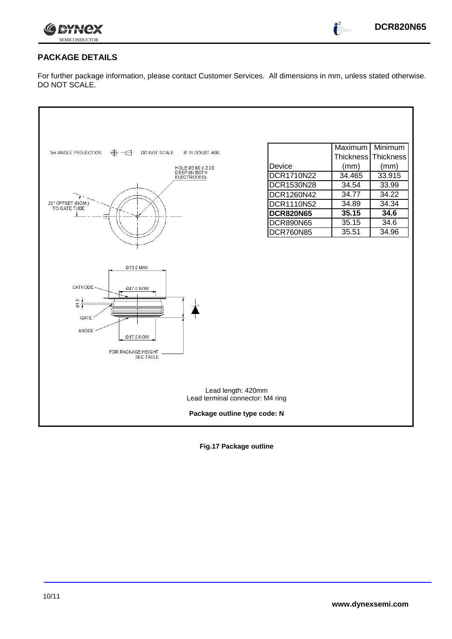

 $\bullet^2$ 

## **PACKAGE DETAILS**

For further package information, please contact Customer Services. All dimensions in mm, unless stated otherwise. DO NOT SCALE.

|                                                              |                   | Maximum          | Minimum   |  |  |  |
|--------------------------------------------------------------|-------------------|------------------|-----------|--|--|--|
| 3rd ANGLE PROJECTION<br>DO NOT SCALE<br>IF IN DOUBT ASK<br>⊕ |                   | <b>Thickness</b> | Thickness |  |  |  |
| HOLE 03.60 X 2.00                                            | Device            | (mm)             | (mm)      |  |  |  |
| DEEP (IN BOTH<br>ELECTRODES)                                 | DCR1710N22        | 34.465           | 33.915    |  |  |  |
|                                                              | DCR1530N28        | 34.54            | 33.99     |  |  |  |
|                                                              | DCR1260N42        | 34.77            | 34.22     |  |  |  |
| 20° OFFSET (NOM.)<br>TO GATE TUBE                            | <b>DCR1110N52</b> | 34.89            | 34.34     |  |  |  |
|                                                              | <b>DCR820N65</b>  | 35.15            | 34.6      |  |  |  |
|                                                              | <b>DCR890N65</b>  | 35.15            | 34.6      |  |  |  |
|                                                              | <b>DCR760N85</b>  | 35.51            | 34.96     |  |  |  |
|                                                              |                   |                  |           |  |  |  |
|                                                              |                   |                  |           |  |  |  |
| Ø73.0 MAX                                                    |                   |                  |           |  |  |  |
|                                                              |                   |                  |           |  |  |  |
| CATHODE-                                                     |                   |                  |           |  |  |  |
| Ø47.0 NOM                                                    |                   |                  |           |  |  |  |
| liņ.<br>δ.                                                   |                   |                  |           |  |  |  |
|                                                              |                   |                  |           |  |  |  |
| <b>GATE</b>                                                  |                   |                  |           |  |  |  |
| <b>ANODE</b><br>Ø47.0 NOM                                    |                   |                  |           |  |  |  |
|                                                              |                   |                  |           |  |  |  |
| FOR PACKAGE HEIGHT<br><b>SEE TABLE</b>                       |                   |                  |           |  |  |  |
|                                                              |                   |                  |           |  |  |  |
|                                                              |                   |                  |           |  |  |  |
|                                                              |                   |                  |           |  |  |  |
| Lead length: 420mm<br>Lead terminal connector: M4 ring       |                   |                  |           |  |  |  |
| Package outline type code: N                                 |                   |                  |           |  |  |  |
|                                                              |                   |                  |           |  |  |  |

**Fig.17 Package outline**